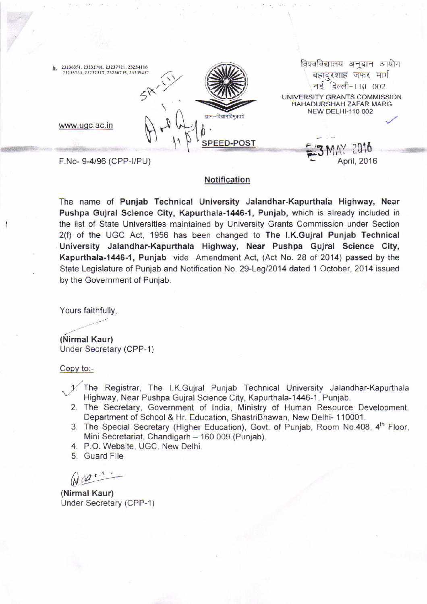| 23236351, 23232701, 23237721, 23234116<br>h.<br>23235733, 23232317, 23236735, 23239437<br>ज्ञान–विज्ञानविमुक्तये<br>www.ugc.ac.in | आयोग<br>विश्वविद्यालय<br>अनुदान<br>बहादुरशाह जफर मार्ग<br>नई दिल्ली-110 002<br>UNIVERSITY GRANTS COMMISSION<br><b>BAHADURSHAH ZAFAR MARG</b><br><b>NEW DELHI-110 002</b> |
|-----------------------------------------------------------------------------------------------------------------------------------|--------------------------------------------------------------------------------------------------------------------------------------------------------------------------|
| <b>SPEED-POST</b>                                                                                                                 | MAY 2016                                                                                                                                                                 |
| F.No-9-4/96 (CPP-I/PU)                                                                                                            | April, 2016                                                                                                                                                              |

## Notification

The name of Punjab Technical University Jalandhar-Kapurthala Highway, Near Pushpa Gujral Science City, Kapurthala-1446-1, Punjab, which is already included in the list of State Universities maintained by University Grants Commission under Section 2(f) of the UGC Act, 1956 has been changed to The l.K.Gujral Punjab Technical University Jalandhar-Kapurthala Highway, Near Pushpa Gujral Science City, Kapurthala-1446-1, Punjab vide Amendment Act, (Act No. 28 of 2014) passed by the State Legislature of Punjab and Notification No. 29-Leg/2014 dated 1 October, 2014 issued by the Government of Punjab.

Yours faithfully,

(Nirmal Kaur) Under Secretary (CPP-1)

Copy to:-

- 1. The Registrar, The I.K.Gujral Punjab Technical University Jalandhar-Kapurthala<br>Highway, Near Pushpa Gujral Science City, Kapurthala-1446-1, Punjab.<br>2. The Secretary, Government of India, Ministry of Human Resource Devel
- Department of School & Hr. Education, ShastriBhawan, New Delhi- 110001.
- 3. The Special Secretary (Higher Education), Govt. of Punjab, Room No.408, 4<sup>th</sup> Floor, Mini Secretariat, Chandigarh - 160 009 (Punjab).
- 4. P.O. Website, UGC, New Delhi.
- 5. Guard File

 $M$ 

(Nirmal Kaur) Under Secretary (CPP-1)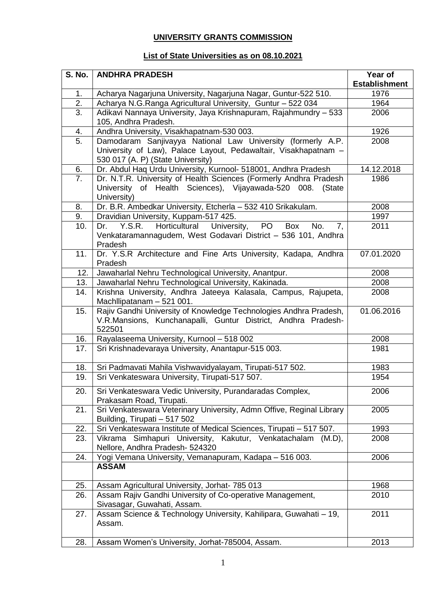## **UNIVERSITY GRANTS COMMISSION**

## **List of State Universities as on 08.10.2021**

| <b>S. No.</b>    | <b>ANDHRA PRADESH</b>                                                                                                                                               | Year of              |
|------------------|---------------------------------------------------------------------------------------------------------------------------------------------------------------------|----------------------|
|                  |                                                                                                                                                                     | <b>Establishment</b> |
| 1.               | Acharya Nagarjuna University, Nagarjuna Nagar, Guntur-522 510.                                                                                                      | 1976                 |
| 2.               | Acharya N.G.Ranga Agricultural University, Guntur - 522 034                                                                                                         | 1964                 |
| $\overline{3}$ . | Adikavi Nannaya University, Jaya Krishnapuram, Rajahmundry - 533<br>105, Andhra Pradesh.                                                                            | 2006                 |
| 4.               | Andhra University, Visakhapatnam-530 003.                                                                                                                           | 1926                 |
| 5.               | Damodaram Sanjivayya National Law University (formerly A.P.<br>University of Law), Palace Layout, Pedawaltair, Visakhapatnam -<br>530 017 (A. P) (State University) | 2008                 |
| 6.               | Dr. Abdul Haq Urdu University, Kurnool- 518001, Andhra Pradesh                                                                                                      | 14.12.2018           |
| 7.               | Dr. N.T.R. University of Health Sciences (Formerly Andhra Pradesh<br>University of Health Sciences), Vijayawada-520 008. (State<br>University)                      | 1986                 |
| 8.               | Dr. B.R. Ambedkar University, Etcherla - 532 410 Srikakulam.                                                                                                        | 2008                 |
| 9.               | Dravidian University, Kuppam-517 425.                                                                                                                               | 1997                 |
| 10.              | Horticultural<br>Y.S.R.<br><b>PO</b><br>University,<br>Box<br>No.<br>Dr.<br>7,<br>Venkataramannagudem, West Godavari District - 536 101, Andhra<br>Pradesh          | 2011                 |
| 11.              | Dr. Y.S.R Architecture and Fine Arts University, Kadapa, Andhra<br>Pradesh                                                                                          | 07.01.2020           |
| 12.              | Jawaharlal Nehru Technological University, Anantpur.                                                                                                                | 2008                 |
| 13.              | Jawaharlal Nehru Technological University, Kakinada.                                                                                                                | 2008                 |
| 14.              | Krishna University, Andhra Jateeya Kalasala, Campus, Rajupeta,<br>Machllipatanam - 521 001.                                                                         | 2008                 |
| 15.              | Rajiv Gandhi University of Knowledge Technologies Andhra Pradesh,<br>V.R.Mansions, Kunchanapalli, Guntur District, Andhra Pradesh-<br>522501                        | 01.06.2016           |
| 16.              | Rayalaseema University, Kurnool - 518 002                                                                                                                           | 2008                 |
| 17.              | Sri Krishnadevaraya University, Anantapur-515 003.                                                                                                                  | 1981                 |
| 18.              | Sri Padmavati Mahila Vishwavidyalayam, Tirupati-517 502.                                                                                                            | 1983                 |
| 19.              | Sri Venkateswara University, Tirupati-517 507.                                                                                                                      | 1954                 |
| 20.              | Sri Venkateswara Vedic University, Purandaradas Complex,<br>Prakasam Road, Tirupati.                                                                                | 2006                 |
| 21.              | Sri Venkateswara Veterinary University, Admn Offive, Reginal Library<br>Building, Tirupati - 517 502                                                                | 2005                 |
| 22.              | Sri Venkateswara Institute of Medical Sciences, Tirupati - 517 507.                                                                                                 | 1993                 |
| 23.              | Vikrama Simhapuri University, Kakutur, Venkatachalam (M.D),<br>Nellore, Andhra Pradesh- 524320                                                                      | 2008                 |
| 24.              | Yogi Vemana University, Vemanapuram, Kadapa - 516 003.<br><b>ASSAM</b>                                                                                              | 2006                 |
| 25.              | Assam Agricultural University, Jorhat- 785 013                                                                                                                      | 1968                 |
| 26.              | Assam Rajiv Gandhi University of Co-operative Management,<br>Sivasagar, Guwahati, Assam.                                                                            | 2010                 |
| 27.              | Assam Science & Technology University, Kahilipara, Guwahati - 19.<br>Assam.                                                                                         | 2011                 |
| 28.              | Assam Women's University, Jorhat-785004, Assam.                                                                                                                     | 2013                 |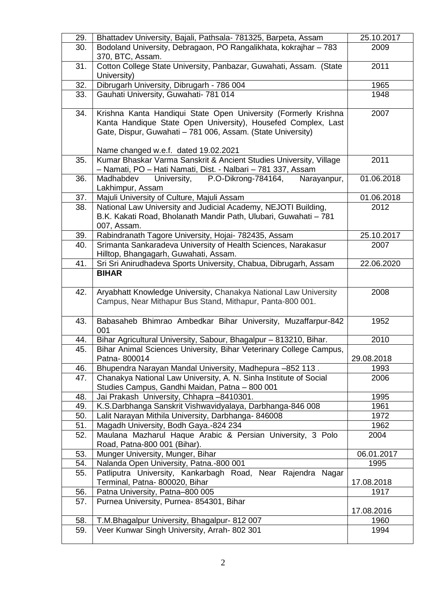| 29.        | Bhattadev University, Bajali, Pathsala- 781325, Barpeta, Assam                                                   | 25.10.2017   |
|------------|------------------------------------------------------------------------------------------------------------------|--------------|
| 30.        | Bodoland University, Debragaon, PO Rangalikhata, kokrajhar - 783                                                 | 2009         |
|            | 370, BTC, Assam.                                                                                                 |              |
| 31.        | Cotton College State University, Panbazar, Guwahati, Assam. (State<br>University)                                | 2011         |
| 32.        | Dibrugarh University, Dibrugarh - 786 004                                                                        | 1965         |
| 33.        | Gauhati University, Guwahati- 781 014                                                                            | 1948         |
|            |                                                                                                                  |              |
| 34.        | Krishna Kanta Handiqui State Open University (Formerly Krishna                                                   | 2007         |
|            | Kanta Handique State Open University), Housefed Complex, Last                                                    |              |
|            | Gate, Dispur, Guwahati - 781 006, Assam. (State University)                                                      |              |
|            | Name changed w.e.f. dated 19.02.2021                                                                             |              |
| 35.        | Kumar Bhaskar Varma Sanskrit & Ancient Studies University, Village                                               | 2011         |
|            | - Namati, PO - Hati Namati, Dist. - Nalbari - 781 337, Assam                                                     |              |
| 36.        | University,<br>Madhabdev<br>P.O-Dikrong-784164,<br>Narayanpur,                                                   | 01.06.2018   |
|            | Lakhimpur, Assam                                                                                                 |              |
| 37.        | Majuli University of Culture, Majuli Assam                                                                       | 01.06.2018   |
| 38.        | National Law University and Judicial Academy, NEJOTI Building,                                                   | 2012         |
|            | B.K. Kakati Road, Bholanath Mandir Path, Ulubari, Guwahati - 781                                                 |              |
| 39.        | 007, Assam.<br>Rabindranath Tagore University, Hojai- 782435, Assam                                              | 25.10.2017   |
| 40.        | Srimanta Sankaradeva University of Health Sciences, Narakasur                                                    | 2007         |
|            | Hilltop, Bhangagarh, Guwahati, Assam.                                                                            |              |
| 41.        | Sri Sri Anirudhadeva Sports University, Chabua, Dibrugarh, Assam                                                 | 22.06.2020   |
|            | <b>BIHAR</b>                                                                                                     |              |
|            |                                                                                                                  |              |
| 42.        | Aryabhatt Knowledge University, Chanakya National Law University                                                 | 2008         |
|            | Campus, Near Mithapur Bus Stand, Mithapur, Panta-800 001.                                                        |              |
| 43.        | Babasaheb Bhimrao Ambedkar Bihar University, Muzaffarpur-842                                                     | 1952         |
|            | 001                                                                                                              |              |
| 44.        | Bihar Agricultural University, Sabour, Bhagalpur - 813210, Bihar.                                                | 2010         |
| 45.        | Bihar Animal Sciences University, Bihar Veterinary College Campus,                                               |              |
|            | Patna-800014                                                                                                     | 29.08.2018   |
| 46.        | Bhupendra Narayan Mandal University, Madhepura -852 113.                                                         | 1993         |
| 47.        | Chanakya National Law University, A. N. Sinha Institute of Social                                                | 2006         |
|            | Studies Campus, Gandhi Maidan, Patna - 800 001                                                                   |              |
| 48.        | Jai Prakash University, Chhapra -8410301.                                                                        | 1995         |
| 49.<br>50. | K.S.Darbhanga Sanskrit Vishwavidyalaya, Darbhanga-846 008<br>Lalit Narayan Mithila University, Darbhanga- 846008 | 1961<br>1972 |
| 51.        | Magadh University, Bodh Gaya.-824 234                                                                            | 1962         |
| 52.        | Maulana Mazharul Haque Arabic & Persian University, 3 Polo                                                       | 2004         |
|            | Road, Patna-800 001 (Bihar).                                                                                     |              |
| 53.        | Munger University, Munger, Bihar                                                                                 | 06.01.2017   |
| 54.        | Nalanda Open University, Patna.-800 001                                                                          | 1995         |
| 55.        | Patliputra University, Kankarbagh Road, Near Rajendra Nagar                                                      |              |
|            | Terminal, Patna-800020, Bihar                                                                                    | 17.08.2018   |
| 56.<br>57. | Patna University, Patna-800 005                                                                                  | 1917         |
|            |                                                                                                                  |              |
|            | Purnea University, Purnea- 854301, Bihar                                                                         |              |
|            |                                                                                                                  | 17.08.2016   |
| 58.<br>59. | T.M.Bhagalpur University, Bhagalpur- 812 007<br>Veer Kunwar Singh University, Arrah-802 301                      | 1960<br>1994 |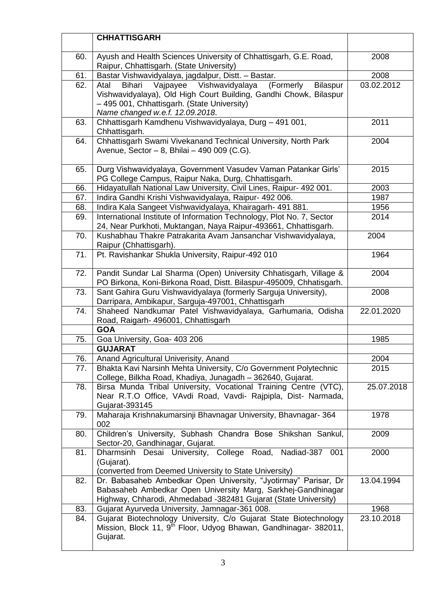|     | <b>CHHATTISGARH</b>                                                                                                                                                                                                                  |            |
|-----|--------------------------------------------------------------------------------------------------------------------------------------------------------------------------------------------------------------------------------------|------------|
| 60. | Ayush and Health Sciences University of Chhattisgarh, G.E. Road,<br>Raipur, Chhattisgarh. (State University)                                                                                                                         | 2008       |
| 61. | Bastar Vishwavidyalaya, jagdalpur, Distt. - Bastar.                                                                                                                                                                                  | 2008       |
| 62. | Vajpayee<br>Vishwavidyalaya<br>(Formerly<br><b>Bilaspur</b><br>Bihari<br>Atal<br>Vishwavidyalaya), Old High Court Building, Gandhi Chowk, Bilaspur<br>- 495 001, Chhattisgarh. (State University)<br>Name changed w.e.f. 12.09.2018. | 03.02.2012 |
| 63. | Chhattisgarh Kamdhenu Vishwavidyalaya, Durg - 491 001,<br>Chhattisgarh.                                                                                                                                                              | 2011       |
| 64. | Chhattisgarh Swami Vivekanand Technical University, North Park<br>Avenue, Sector - 8, Bhilai - 490 009 (C.G).                                                                                                                        | 2004       |
| 65. | Durg Vishwavidyalaya, Government Vasudev Vaman Patankar Girls'<br>PG College Campus, Raipur Naka, Durg, Chhattisgarh.                                                                                                                | 2015       |
| 66. | Hidayatullah National Law University, Civil Lines, Raipur- 492 001.                                                                                                                                                                  | 2003       |
| 67. | Indira Gandhi Krishi Vishwavidyalaya, Raipur- 492 006.                                                                                                                                                                               | 1987       |
| 68. | Indira Kala Sangeet Vishwavidyalaya, Khairagarh- 491 881.                                                                                                                                                                            | 1956       |
| 69. | International Institute of Information Technology, Plot No. 7, Sector<br>24, Near Purkhoti, Muktangan, Naya Raipur-493661, Chhattisgarh.                                                                                             | 2014       |
| 70. | Kushabhau Thakre Patrakarita Avam Jansanchar Vishwavidyalaya,<br>Raipur (Chhattisgarh).                                                                                                                                              | 2004       |
| 71. | Pt. Ravishankar Shukla University, Raipur-492 010                                                                                                                                                                                    | 1964       |
| 72. | Pandit Sundar Lal Sharma (Open) University Chhatisgarh, Village &<br>PO Birkona, Koni-Birkona Road, Distt. Bilaspur-495009, Chhatisgarh.                                                                                             | 2004       |
| 73. | Sant Gahira Guru Vishwavidyalaya (formerly Sarguja University),<br>Darripara, Ambikapur, Sarguja-497001, Chhattisgarh                                                                                                                | 2008       |
| 74. | Shaheed Nandkumar Patel Vishwavidyalaya, Garhumaria, Odisha<br>Road, Raigarh- 496001, Chhattisgarh                                                                                                                                   | 22.01.2020 |
|     | <b>GOA</b>                                                                                                                                                                                                                           |            |
| 75. | Goa University, Goa- 403 206                                                                                                                                                                                                         | 1985       |
|     | <b>GUJARAT</b>                                                                                                                                                                                                                       |            |
| 76. | Anand Agricultural Univerisity, Anand                                                                                                                                                                                                | 2004       |
| 77. | Bhakta Kavi Narsinh Mehta University, C/o Government Polytechnic<br>College, Bilkha Road, Khadiya, Junagadh - 362640, Gujarat.                                                                                                       | 2015       |
| 78. | Birsa Munda Tribal University, Vocational Training Centre (VTC),<br>Near R.T.O Office, VAvdi Road, Vavdi- Rajpipla, Dist- Narmada,<br>Gujarat-393145                                                                                 | 25.07.2018 |
| 79. | Maharaja Krishnakumarsinji Bhavnagar University, Bhavnagar-364<br>002                                                                                                                                                                | 1978       |
| 80. | Children's University, Subhash Chandra Bose Shikshan Sankul,<br>Sector-20, Gandhinagar, Gujarat.                                                                                                                                     | 2009       |
| 81. | Dharmsinh Desai University, College Road, Nadiad-387<br>001<br>(Gujarat).<br>(converted from Deemed University to State University)                                                                                                  | 2000       |
| 82. | Dr. Babasaheb Ambedkar Open University, "Jyotirmay" Parisar, Dr<br>Babasaheb Ambedkar Open University Marg, Sarkhej-Gandhinagar<br>Highway, Chharodi, Ahmedabad -382481 Gujarat (State University)                                   | 13.04.1994 |
| 83. | Gujarat Ayurveda University, Jamnagar-361 008.                                                                                                                                                                                       | 1968       |
| 84. | Gujarat Biotechnology University, C/o Gujarat State Biotechnology<br>Mission, Block 11, 9 <sup>th</sup> Floor, Udyog Bhawan, Gandhinagar- 382011,<br>Gujarat.                                                                        | 23.10.2018 |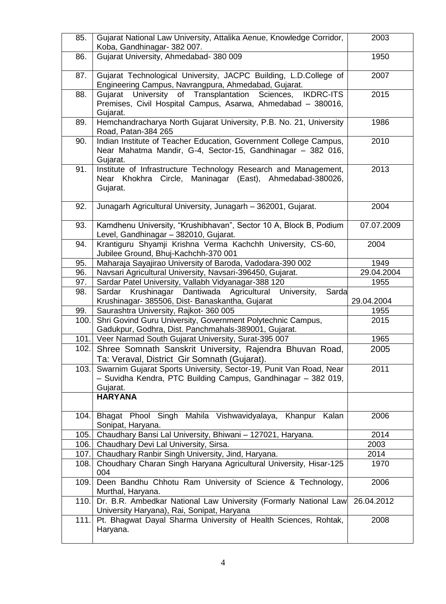| 85.   | Gujarat National Law University, Attalika Aenue, Knowledge Corridor,        | 2003       |
|-------|-----------------------------------------------------------------------------|------------|
|       | Koba, Gandhinagar- 382 007.                                                 |            |
|       |                                                                             |            |
| 86.   | Gujarat University, Ahmedabad- 380 009                                      | 1950       |
|       |                                                                             |            |
| 87.   | Gujarat Technological University, JACPC Building, L.D.College of            | 2007       |
|       | Engineering Campus, Navrangpura, Ahmedabad, Gujarat.                        |            |
| 88.   | Gujarat University of Transplantation Sciences, IKDRC-ITS                   | 2015       |
|       | Premises, Civil Hospital Campus, Asarwa, Ahmedabad - 380016,                |            |
|       | Gujarat.                                                                    |            |
| 89.   | Hemchandracharya North Gujarat University, P.B. No. 21, University          | 1986       |
|       | Road, Patan-384 265                                                         |            |
| 90.   | Indian Institute of Teacher Education, Government College Campus,           | 2010       |
|       | Near Mahatma Mandir, G-4, Sector-15, Gandhinagar - 382 016,                 |            |
|       | Gujarat.                                                                    |            |
| 91.   | Institute of Infrastructure Technology Research and Management,             | 2013       |
|       | Near Khokhra Circle, Maninagar (East), Ahmedabad-380026,                    |            |
|       | Gujarat.                                                                    |            |
|       |                                                                             |            |
| 92.   | Junagarh Agricultural University, Junagarh - 362001, Gujarat.               | 2004       |
|       |                                                                             |            |
|       | Kamdhenu University, "Krushibhavan", Sector 10 A, Block B, Podium           | 07.07.2009 |
| 93.   |                                                                             |            |
|       | Level, Gandhinagar - 382010, Gujarat.                                       |            |
| 94.   | Krantiguru Shyamji Krishna Verma Kachchh University, CS-60,                 | 2004       |
|       | Jubilee Ground, Bhuj-Kachchh-370 001                                        |            |
| 95.   | Maharaja Sayajirao University of Baroda, Vadodara-390 002                   | 1949       |
| 96.   | Navsari Agricultural University, Navsari-396450, Gujarat.                   | 29.04.2004 |
| 97.   | Sardar Patel University, Vallabh Vidyanagar-388 120                         | 1955       |
| 98.   | Sardar Krushinagar Dantiwada Agricultural University,<br>Sarda              |            |
|       | Krushinagar- 385506, Dist- Banaskantha, Gujarat                             | 29.04.2004 |
| 99.   | Saurashtra University, Rajkot- 360 005                                      | 1955       |
| 100.  | Shri Govind Guru University, Government Polytechnic Campus,                 | 2015       |
|       | Gadukpur, Godhra, Dist. Panchmahals-389001, Gujarat.                        |            |
|       | 101. Veer Narmad South Gujarat University, Surat-395 007                    | 1965       |
| 102.  | Shree Somnath Sanskrit University, Rajendra Bhuvan Road,                    | 2005       |
|       | Ta: Veraval, District Gir Somnath (Gujarat).                                |            |
| 103.1 | Swarnim Gujarat Sports University, Sector-19, Punit Van Road, Near          | 2011       |
|       | - Suvidha Kendra, PTC Building Campus, Gandhinagar - 382 019,               |            |
|       |                                                                             |            |
|       | Gujarat.                                                                    |            |
|       | <b>HARYANA</b>                                                              |            |
|       |                                                                             |            |
| 104.  | Bhagat Phool Singh Mahila Vishwavidyalaya, Khanpur<br>Kalan                 | 2006       |
|       | Sonipat, Haryana.                                                           |            |
| 105.  | Chaudhary Bansi Lal University, Bhiwani - 127021, Haryana.                  | 2014       |
| 106.  | Chaudhary Devi Lal University, Sirsa.                                       | 2003       |
| 107.  | Chaudhary Ranbir Singh University, Jind, Haryana.                           | 2014       |
| 108.  |                                                                             | 1970       |
|       | Choudhary Charan Singh Haryana Agricultural University, Hisar-125           |            |
|       | 004                                                                         |            |
| 109.  | Deen Bandhu Chhotu Ram University of Science & Technology,                  | 2006       |
|       | Murthal, Haryana.                                                           |            |
|       |                                                                             |            |
| 110.  | Dr. B.R. Ambedkar National Law University (Formarly National Law            | 26.04.2012 |
|       | University Haryana), Rai, Sonipat, Haryana                                  |            |
| 111.  | Pt. Bhagwat Dayal Sharma University of Health Sciences, Rohtak,<br>Haryana. | 2008       |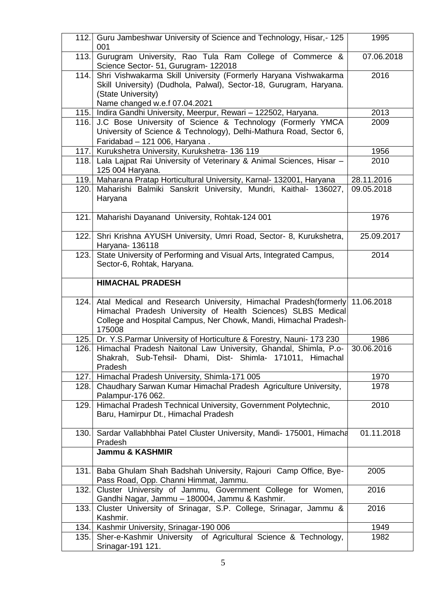| 112.1 | Guru Jambeshwar University of Science and Technology, Hisar,-125<br>001                                                                                                                                                    | 1995       |
|-------|----------------------------------------------------------------------------------------------------------------------------------------------------------------------------------------------------------------------------|------------|
| 113.  | Gurugram University, Rao Tula Ram College of Commerce &<br>Science Sector- 51, Gurugram- 122018                                                                                                                            | 07.06.2018 |
| 114.  | Shri Vishwakarma Skill University (Formerly Haryana Vishwakarma<br>Skill University) (Dudhola, Palwal), Sector-18, Gurugram, Haryana.<br>(State University)<br>Name changed w.e.f 07.04.2021                               | 2016       |
| 115.  | Indira Gandhi University, Meerpur, Rewari - 122502, Haryana.                                                                                                                                                               | 2013       |
| 116.  | J.C Bose University of Science & Technology (Formerly YMCA<br>University of Science & Technology), Delhi-Mathura Road, Sector 6,<br>Faridabad - 121 006, Haryana.                                                          | 2009       |
| 117.  | Kurukshetra University, Kurukshetra- 136 119                                                                                                                                                                               | 1956       |
| 118.  | Lala Lajpat Rai University of Veterinary & Animal Sciences, Hisar -<br>125 004 Haryana.                                                                                                                                    | 2010       |
| 119.  | Maharana Pratap Horticultural University, Karnal- 132001, Haryana                                                                                                                                                          | 28.11.2016 |
| 120.  | Maharishi Balmiki Sanskrit University, Mundri, Kaithal- 136027,<br>Haryana                                                                                                                                                 | 09.05.2018 |
| 121.  | Maharishi Dayanand University, Rohtak-124 001                                                                                                                                                                              | 1976       |
| 122.  | Shri Krishna AYUSH University, Umri Road, Sector- 8, Kurukshetra,<br>Haryana- 136118                                                                                                                                       | 25.09.2017 |
| 123.  | State University of Performing and Visual Arts, Integrated Campus,<br>Sector-6, Rohtak, Haryana.                                                                                                                           | 2014       |
|       | <b>HIMACHAL PRADESH</b>                                                                                                                                                                                                    |            |
| 124.  | Atal Medical and Research University, Himachal Pradesh (formerly 11.06.2018)<br>Himachal Pradesh University of Health Sciences) SLBS Medical<br>College and Hospital Campus, Ner Chowk, Mandi, Himachal Pradesh-<br>175008 |            |
| 125.  | Dr. Y.S.Parmar University of Horticulture & Forestry, Nauni- 173 230                                                                                                                                                       | 1986       |
| 126.  | Himachal Pradesh Naitonal Law University, Ghandal, Shimla, P.o-<br>Shakrah, Sub-Tehsil- Dhami, Dist- Shimla- 171011, Himachal<br>Pradesh                                                                                   | 30.06.2016 |
| 127.  | Himachal Pradesh University, Shimla-171 005                                                                                                                                                                                | 1970       |
| 128.  | Chaudhary Sarwan Kumar Himachal Pradesh Agriculture University,<br>Palampur-176 062.                                                                                                                                       | 1978       |
| 129.  | Himachal Pradesh Technical University, Government Polytechnic,<br>Baru, Hamirpur Dt., Himachal Pradesh                                                                                                                     | 2010       |
| 130.  | Sardar Vallabhbhai Patel Cluster University, Mandi- 175001, Himacha<br>Pradesh                                                                                                                                             | 01.11.2018 |
|       | <b>Jammu &amp; KASHMIR</b>                                                                                                                                                                                                 |            |
| 131.  | Baba Ghulam Shah Badshah University, Rajouri Camp Office, Bye-<br>Pass Road, Opp. Channi Himmat, Jammu.                                                                                                                    | 2005       |
| 132.  | Cluster University of Jammu, Government College for Women,<br>Gandhi Nagar, Jammu - 180004, Jammu & Kashmir.                                                                                                               | 2016       |
| 133.1 | Cluster University of Srinagar, S.P. College, Srinagar, Jammu &<br>Kashmir.                                                                                                                                                | 2016       |
| 134.  | Kashmir University, Srinagar-190 006                                                                                                                                                                                       | 1949       |
| 135.  | Sher-e-Kashmir University of Agricultural Science & Technology,<br>Srinagar-191 121.                                                                                                                                       | 1982       |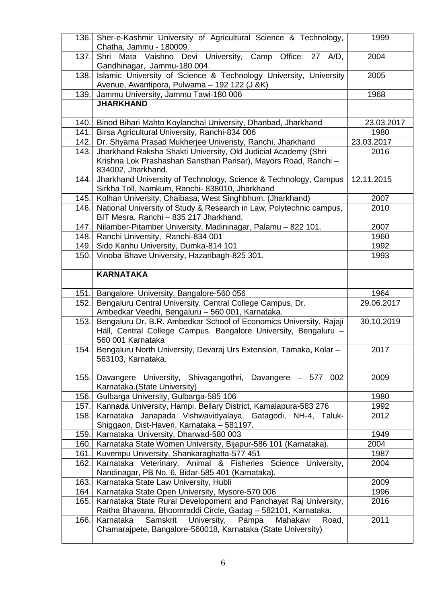|       | Sher-e-Kashmir University of Agricultural Science & Technology,<br>136.<br>Chatha, Jammu - 180009.                                                         | 1999       |
|-------|------------------------------------------------------------------------------------------------------------------------------------------------------------|------------|
| 137.  | Shri Mata Vaishno Devi University, Camp Office: 27 A/D,<br>Gandhinagar, Jammu-180 004.                                                                     | 2004       |
| 138.  | Islamic University of Science & Technology University, University                                                                                          | 2005       |
|       | Avenue, Awantipora, Pulwama - 192 122 (J &K)                                                                                                               |            |
| 139.  | Jammu University, Jammu Tawi-180 006                                                                                                                       | 1968       |
|       | <b>JHARKHAND</b>                                                                                                                                           |            |
| 140.  | Binod Bihari Mahto Koylanchal University, Dhanbad, Jharkhand                                                                                               | 23.03.2017 |
| 141.  | Birsa Agricultural University, Ranchi-834 006                                                                                                              | 1980       |
| 142.  | Dr. Shyama Prasad Mukherjee Univeristy, Ranchi, Jharkhand                                                                                                  | 23.03.2017 |
| 143.  | Jharkhand Raksha Shakti University, Old Judicial Academy (Shri<br>Krishna Lok Prashashan Sansthan Parisar), Mayors Road, Ranchi -<br>834002, Jharkhand.    | 2016       |
| 144.  | Jharkhand University of Technology, Science & Technology, Campus<br>Sirkha Toll, Namkum, Ranchi- 838010, Jharkhand                                         | 12.11.2015 |
| 145.  | Kolhan University, Chaibasa, West Singhbhum. (Jharkhand)                                                                                                   | 2007       |
| 146.  | National University of Study & Research in Law, Polytechnic campus,<br>BIT Mesra, Ranchi - 835 217 Jharkhand.                                              | 2010       |
| 147.  | Nilamber-Pitamber University, Madininagar, Palamu - 822 101.                                                                                               | 2007       |
| 148.  | Ranchi University, Ranchi-834 001                                                                                                                          | 1960       |
| 149.  | Sido Kanhu University, Dumka-814 101                                                                                                                       | 1992       |
| 150.  | Vinoba Bhave University, Hazaribagh-825 301.                                                                                                               | 1993       |
|       | <b>KARNATAKA</b>                                                                                                                                           |            |
| 151.  | Bangalore University, Bangalore-560 056                                                                                                                    | 1964       |
| 152.  | Bengaluru Central University, Central College Campus, Dr.<br>Ambedkar Veedhi, Bengaluru - 560 001, Karnataka.                                              | 29.06.2017 |
|       |                                                                                                                                                            |            |
| 153.  | Bengaluru Dr. B.R. Ambedkar School of Economics University, Rajaji<br>Hall, Central College Campus, Bangalore University, Bengaluru -<br>560 001 Karnataka | 30.10.2019 |
| 154.  | Bengaluru North University, Devaraj Urs Extension, Tamaka, Kolar -<br>563103, Karnataka.                                                                   | 2017       |
| 155.  | Davangere University, Shivagangothri, Davangere - 577 002<br>Karnataka. (State University)                                                                 | 2009       |
| 156.  | Gulbarga University, Gulbarga-585 106                                                                                                                      | 1980       |
| 157.1 | Kannada University, Hampi, Bellary District, Kamalapura-583 276                                                                                            | 1992       |
| 158.  | Karnataka Janapada Vishwavidyalaya, Gatagodi, NH-4, Taluk-<br>Shiggaon, Dist-Haveri, Karnataka - 581197.                                                   | 2012       |
| 159.  | Karnataka University, Dharwad-580 003                                                                                                                      | 1949       |
| 160.  | Karnataka State Women University, Bijapur-586 101 (Karnataka).                                                                                             | 2004       |
| 161.  | Kuvempu University, Shankaraghatta-577 451                                                                                                                 | 1987       |
| 162.  | Karnataka Veterinary, Animal & Fisheries Science University,<br>Nandinagar, PB No. 6, Bidar-585 401 (Karnataka).                                           | 2004       |
| 163.  | Karnataka State Law University, Hubli                                                                                                                      | 2009       |
| 164.  | Karnataka State Open University, Mysore-570 006                                                                                                            | 1996       |
| 165.  | Karnataka State Rural Developoment and Panchayat Raj University,<br>Raitha Bhavana, Bhoomraddi Circle, Gadag - 582101, Karnataka.                          | 2016       |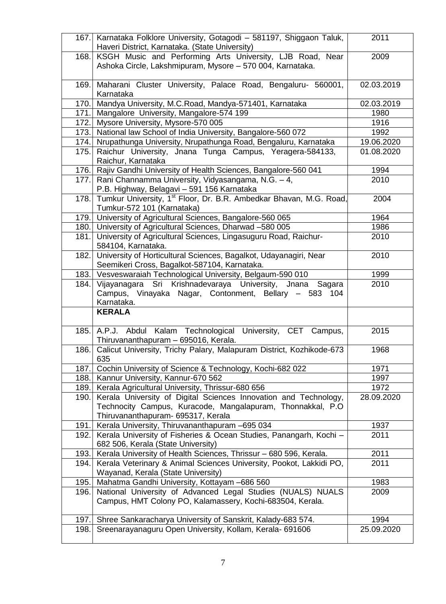|       | 167. Karnataka Folklore University, Gotagodi - 581197, Shiggaon Taluk,<br>Haveri District, Karnataka. (State University)                                              | 2011       |
|-------|-----------------------------------------------------------------------------------------------------------------------------------------------------------------------|------------|
| 168.  | KSGH Music and Performing Arts University, LJB Road, Near<br>Ashoka Circle, Lakshmipuram, Mysore - 570 004, Karnataka.                                                | 2009       |
| 169.  | Maharani Cluster University, Palace Road, Bengaluru- 560001,<br>Karnataka                                                                                             | 02.03.2019 |
| 170.  | Mandya University, M.C.Road, Mandya-571401, Karnataka                                                                                                                 | 02.03.2019 |
| 171.  | Mangalore University, Mangalore-574 199                                                                                                                               | 1980       |
|       | 172. Mysore University, Mysore-570 005                                                                                                                                | 1916       |
| 173.  | National law School of India University, Bangalore-560 072                                                                                                            | 1992       |
| 174.  | Nrupathunga University, Nrupathunga Road, Bengaluru, Karnataka                                                                                                        | 19.06.2020 |
| 175.  | Raichur University, Jnana Tunga Campus, Yeragera-584133,<br>Raichur, Karnataka                                                                                        | 01.08.2020 |
| 176.  | Rajiv Gandhi University of Health Sciences, Bangalore-560 041                                                                                                         | 1994       |
| 177.  | Rani Channamma University, Vidyasangama, N.G. - 4,<br>P.B. Highway, Belagavi - 591 156 Karnataka                                                                      | 2010       |
|       | 178. Tumkur University, 1 <sup>st</sup> Floor, Dr. B.R. Ambedkar Bhavan, M.G. Road,<br>Tumkur-572 101 (Karnataka)                                                     | 2004       |
|       | 179. University of Agricultural Sciences, Bangalore-560 065                                                                                                           | 1964       |
|       | 180. University of Agricultural Sciences, Dharwad -580 005                                                                                                            | 1986       |
| 181.  | University of Agricultural Sciences, Lingasuguru Road, Raichur-<br>584104, Karnataka.                                                                                 | 2010       |
| 182.1 | University of Horticultural Sciences, Bagalkot, Udayanagiri, Near<br>Seemikeri Cross, Bagalkot-587104, Karnataka.                                                     | 2010       |
|       | 183. Vesveswaraiah Technological University, Belgaum-590 010                                                                                                          | 1999       |
| 184.  | Vijayanagara Sri Krishnadevaraya University, Jnana Sagara<br>Campus, Vinayaka Nagar, Contonment, Bellary - 583 104<br>Karnataka.                                      | 2010       |
|       | <b>KERALA</b>                                                                                                                                                         |            |
| 185.  | A.P.J. Abdul Kalam Technological University, CET Campus,<br>Thiruvananthapuram - 695016, Kerala.                                                                      | 2015       |
| 186.  | Calicut University, Trichy Palary, Malapuram District, Kozhikode-673<br>635                                                                                           | 1968       |
| 187.  | Cochin University of Science & Technology, Kochi-682 022                                                                                                              | 1971       |
| 188.  | Kannur University, Kannur-670 562                                                                                                                                     | 1997       |
| 189.  | Kerala Agricultural University, Thrissur-680 656                                                                                                                      | 1972       |
| 190.  | Kerala University of Digital Sciences Innovation and Technology,<br>Technocity Campus, Kuracode, Mangalapuram, Thonnakkal, P.O.<br>Thiruvananthapuram- 695317, Kerala | 28.09.2020 |
| 191.  | Kerala University, Thiruvananthapuram -695 034                                                                                                                        | 1937       |
| 192.  | Kerala University of Fisheries & Ocean Studies, Panangarh, Kochi -<br>682 506, Kerala (State University)                                                              | 2011       |
| 193.  | Kerala University of Health Sciences, Thrissur - 680 596, Kerala.                                                                                                     | 2011       |
| 194.  | Kerala Veterinary & Animal Sciences University, Pookot, Lakkidi PO,<br>Wayanad, Kerala (State University)                                                             | 2011       |
| 195.  | Mahatma Gandhi University, Kottayam -686 560                                                                                                                          | 1983       |
| 196.  | National University of Advanced Legal Studies (NUALS) NUALS<br>Campus, HMT Colony PO, Kalamassery, Kochi-683504, Kerala.                                              | 2009       |
| 197.  | Shree Sankaracharya University of Sanskrit, Kalady-683 574.                                                                                                           | 1994       |
| 198.  | Sreenarayanaguru Open University, Kollam, Kerala- 691606                                                                                                              | 25.09.2020 |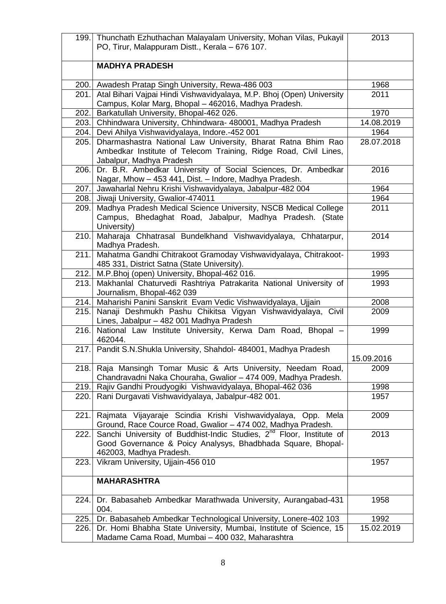|      | 199. Thunchath Ezhuthachan Malayalam University, Mohan Vilas, Pukayil            | 2013       |
|------|----------------------------------------------------------------------------------|------------|
|      | PO, Tirur, Malappuram Distt., Kerala - 676 107.                                  |            |
|      |                                                                                  |            |
|      | <b>MADHYA PRADESH</b>                                                            |            |
|      |                                                                                  |            |
|      | 200. Awadesh Pratap Singh University, Rewa-486 003                               | 1968       |
| 201. | Atal Bihari Vajpai Hindi Vishwavidyalaya, M.P. Bhoj (Open) University            | 2011       |
|      | Campus, Kolar Marg, Bhopal - 462016, Madhya Pradesh.                             |            |
| 202. | Barkatullah University, Bhopal-462 026.                                          | 1970       |
|      | 203. Chhindwara University, Chhindwara- 480001, Madhya Pradesh                   | 14.08.2019 |
| 204. | Devi Ahilya Vishwavidyalaya, Indore.-452 001                                     | 1964       |
| 205. | Dharmashastra National Law University, Bharat Ratna Bhim Rao                     | 28.07.2018 |
|      | Ambedkar Institute of Telecom Training, Ridge Road, Civil Lines,                 |            |
|      | Jabalpur, Madhya Pradesh                                                         |            |
| 206. | Dr. B.R. Ambedkar University of Social Sciences, Dr. Ambedkar                    | 2016       |
|      | Nagar, Mhow - 453 441, Dist. - Indore, Madhya Pradesh.                           |            |
|      | 207. Jawaharlal Nehru Krishi Vishwavidyalaya, Jabalpur-482 004                   | 1964       |
| 208. | Jiwaji University, Gwalior-474011                                                | 1964       |
| 209. | Madhya Pradesh Medical Science University, NSCB Medical College                  | 2011       |
|      | Campus, Bhedaghat Road, Jabalpur, Madhya Pradesh. (State                         |            |
|      | University)                                                                      |            |
| 210. | Maharaja Chhatrasal Bundelkhand Vishwavidyalaya, Chhatarpur,                     | 2014       |
|      | Madhya Pradesh.                                                                  |            |
| 211. | Mahatma Gandhi Chitrakoot Gramoday Vishwavidyalaya, Chitrakoot-                  | 1993       |
|      | 485 331, District Satna (State University).                                      |            |
| 212. | M.P.Bhoj (open) University, Bhopal-462 016.                                      | 1995       |
| 213. | Makhanlal Chaturvedi Rashtriya Patrakarita National University of                | 1993       |
|      | Journalism, Bhopal-462 039                                                       |            |
|      | 214. Maharishi Panini Sanskrit Evam Vedic Vishwavidyalaya, Ujjain                | 2008       |
| 215. | Nanaji Deshmukh Pashu Chikitsa Vigyan Vishwavidyalaya, Civil                     | 2009       |
|      | Lines, Jabalpur - 482 001 Madhya Pradesh                                         |            |
| 216. | National Law Institute University, Kerwa Dam Road, Bhopal -                      | 1999       |
|      | 462044.                                                                          |            |
|      | 217. Pandit S.N. Shukla University, Shahdol- 484001, Madhya Pradesh              |            |
|      |                                                                                  | 15.09.2016 |
| 218. | Raja Mansingh Tomar Music & Arts University, Needam Road,                        | 2009       |
|      | Chandravadni Naka Chouraha, Gwalior - 474 009, Madhya Pradesh.                   |            |
|      |                                                                                  |            |
| 219. | Rajiv Gandhi Proudyogiki Vishwavidyalaya, Bhopal-462 036                         | 1998       |
| 220. | Rani Durgavati Vishwavidyalaya, Jabalpur-482 001.                                | 1957       |
|      | 221. Rajmata Vijayaraje Scindia Krishi Vishwavidyalaya, Opp. Mela                | 2009       |
|      | Ground, Race Cource Road, Gwalior - 474 002, Madhya Pradesh.                     |            |
| 222. | Sanchi University of Buddhist-Indic Studies, 2 <sup>nd</sup> Floor, Institute of | 2013       |
|      | Good Governance & Poicy Analysys, Bhadbhada Square, Bhopal-                      |            |
|      | 462003, Madhya Pradesh.                                                          |            |
| 223. | Vikram University, Ujjain-456 010                                                | 1957       |
|      |                                                                                  |            |
|      | <b>MAHARASHTRA</b>                                                               |            |
|      |                                                                                  |            |
| 224. | Dr. Babasaheb Ambedkar Marathwada University, Aurangabad-431                     | 1958       |
|      | 004.                                                                             |            |
| 225. | Dr. Babasaheb Ambedkar Technological University, Lonere-402 103                  | 1992       |
| 226. | Dr. Homi Bhabha State University, Mumbai, Institute of Science, 15               | 15.02.2019 |
|      | Madame Cama Road, Mumbai - 400 032, Maharashtra                                  |            |
|      |                                                                                  |            |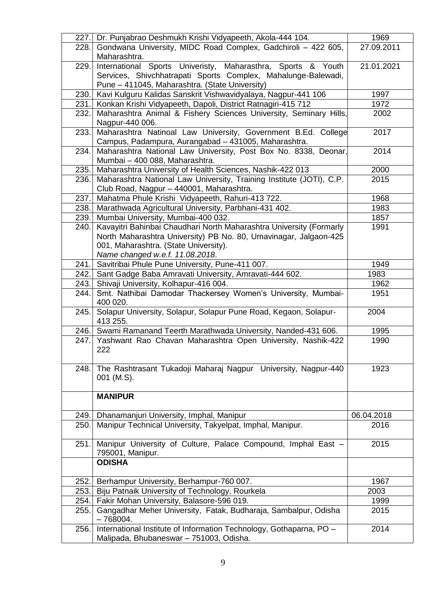|       | 227. Dr. Punjabrao Deshmukh Krishi Vidyapeeth, Akola-444 104.                                                                 | 1969       |
|-------|-------------------------------------------------------------------------------------------------------------------------------|------------|
| 228.1 | Gondwana University, MIDC Road Complex, Gadchiroli - 422 605,<br>Maharashtra.                                                 | 27.09.2011 |
| 229.  | International Sports Univeristy, Maharasthra, Sports & Youth<br>Services, Shivchhatrapati Sports Complex, Mahalunge-Balewadi, | 21.01.2021 |
|       | Pune - 411045, Maharashtra. (State University)                                                                                |            |
| 230.1 | Kavi Kulguru Kalidas Sanskrit Vishwavidyalaya, Nagpur-441 106                                                                 | 1997       |
|       | 231. Konkan Krishi Vidyapeeth, Dapoli, District Ratnagiri-415 712                                                             | 1972       |
| 232.1 | Maharashtra Animal & Fishery Sciences University, Seminary Hills,                                                             | 2002       |
|       | Nagpur-440 006.                                                                                                               |            |
| 233.  | Maharashtra Natinoal Law University, Government B.Ed. College                                                                 | 2017       |
|       | Campus, Padampura, Aurangabad - 431005, Maharashtra.                                                                          |            |
| 234.  | Maharashtra National Law University, Post Box No. 8338, Deonar,                                                               | 2014       |
|       | Mumbai - 400 088, Maharashtra.                                                                                                |            |
| 235.  | Maharashtra University of Health Sciences, Nashik-422 013                                                                     | 2000       |
|       | Maharashtra National Law University, Training Institute (JOTI), C.P.                                                          | 2015       |
| 236.  |                                                                                                                               |            |
| 237.  | Club Road, Nagpur - 440001, Maharashtra.<br>Mahatma Phule Krishi Vidyapeeth, Rahuri-413 722.                                  | 1968       |
|       | Marathwada Agricultural University, Parbhani-431 402.                                                                         | 1983       |
| 238.  |                                                                                                                               |            |
| 239.  | Mumbai University, Mumbai-400 032.                                                                                            | 1857       |
| 240.  | Kavayitri Bahinbai Chaudhari North Maharashtra University (Formarly                                                           | 1991       |
|       | North Maharashtra University) PB No. 80, Umavinagar, Jalgaon-425                                                              |            |
|       | 001, Maharashtra. (State University).                                                                                         |            |
|       | Name changed w.e.f. 11.08.2018.                                                                                               |            |
| 241.  | Savitribai Phule Pune University, Pune-411 007.                                                                               | 1949       |
|       | 242. Sant Gadge Baba Amravati University, Amravati-444 602.                                                                   | 1983       |
| 243.  | Shivaji University, Kolhapur-416 004.                                                                                         | 1962       |
| 244.  | Smt. Nathibai Damodar Thackersey Women's University, Mumbai-<br>400 020.                                                      | 1951       |
| 245.  | Solapur University, Solapur, Solapur Pune Road, Kegaon, Solapur-<br>413 255.                                                  | 2004       |
|       | 246. Swami Ramanand Teerth Marathwada University, Nanded-431 606.                                                             | 1995       |
|       | 247. Yashwant Rao Chavan Maharashtra Open University, Nashik-422<br>222                                                       | 1990       |
| 248.  | The Rashtrasant Tukadoji Maharaj Nagpur University, Nagpur-440<br>001 (M.S).                                                  | 1923       |
|       | <b>MANIPUR</b>                                                                                                                |            |
| 249.  | Dhanamanjuri University, Imphal, Manipur                                                                                      | 06.04.2018 |
| 250.  | Manipur Technical University, Takyelpat, Imphal, Manipur.                                                                     | 2016       |
| 251.  | Manipur University of Culture, Palace Compound, Imphal East -<br>795001, Manipur.                                             | 2015       |
|       | <b>ODISHA</b>                                                                                                                 |            |
| 252.  | Berhampur University, Berhampur-760 007.                                                                                      | 1967       |
| 253.  | Biju Patnaik University of Technology, Rourkela                                                                               | 2003       |
| 254.  | Fakir Mohan University, Balasore-596 019.                                                                                     | 1999       |
| 255.  | Gangadhar Meher University, Fatak, Budharaja, Sambalpur, Odisha<br>$-768004.$                                                 | 2015       |
| 256.  | International Institute of Information Technology, Gothaparna, PO -<br>Malipada, Bhubaneswar - 751003, Odisha.                | 2014       |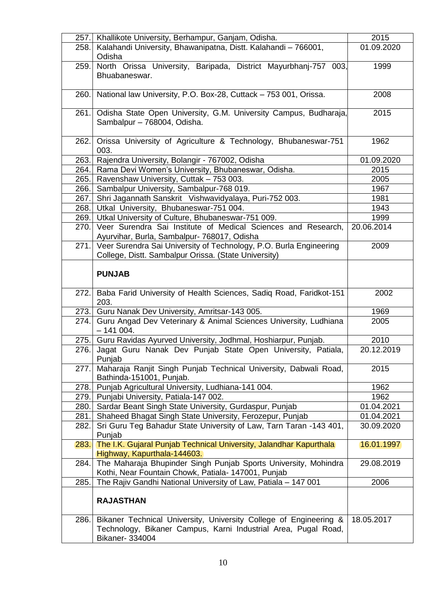| 257.  | Khallikote University, Berhampur, Ganjam, Odisha.                     | 2015       |
|-------|-----------------------------------------------------------------------|------------|
| 258.  | Kalahandi University, Bhawanipatna, Distt. Kalahandi - 766001,        | 01.09.2020 |
|       | Odisha                                                                |            |
| 259.  | North Orissa University, Baripada, District Mayurbhanj-757 003,       | 1999       |
|       | Bhuabaneswar.                                                         |            |
|       |                                                                       |            |
| 260.  | National law University, P.O. Box-28, Cuttack - 753 001, Orissa.      | 2008       |
|       |                                                                       |            |
| 261.  | Odisha State Open University, G.M. University Campus, Budharaja,      | 2015       |
|       | Sambalpur - 768004, Odisha.                                           |            |
| 262.  | Orissa University of Agriculture & Technology, Bhubaneswar-751        | 1962       |
|       | 003.                                                                  |            |
| 263.  | Rajendra University, Bolangir - 767002, Odisha                        | 01.09.2020 |
|       | 264. Rama Devi Women's University, Bhubaneswar, Odisha.               | 2015       |
| 265.  | Ravenshaw University, Cuttak - 753 003.                               | 2005       |
| 266.  | Sambalpur University, Sambalpur-768 019.                              | 1967       |
| 267.  | Shri Jagannath Sanskrit Vishwavidyalaya, Puri-752 003.                | 1981       |
| 268.  | Utkal University, Bhubaneswar-751 004.                                | 1943       |
| 269.  | Utkal University of Culture, Bhubaneswar-751 009.                     | 1999       |
| 270.  | Veer Surendra Sai Institute of Medical Sciences and Research,         | 20.06.2014 |
|       | Ayurvihar, Burla, Sambalpur- 768017, Odisha                           |            |
| 271.  | Veer Surendra Sai University of Technology, P.O. Burla Engineering    | 2009       |
|       | College, Distt. Sambalpur Orissa. (State University)                  |            |
|       |                                                                       |            |
|       | <b>PUNJAB</b>                                                         |            |
|       |                                                                       |            |
| 272.  | Baba Farid University of Health Sciences, Sadiq Road, Faridkot-151    | 2002       |
|       | 203.                                                                  |            |
| 273.  | Guru Nanak Dev University, Amritsar-143 005.                          | 1969       |
| 274.I | Guru Angad Dev Veterinary & Animal Sciences University, Ludhiana      | 2005       |
|       | $-141004.$                                                            |            |
| 275.  | Guru Ravidas Ayurved University, Jodhmal, Hoshiarpur, Punjab.         | 2010       |
| 276.  | Jagat Guru Nanak Dev Punjab State Open University, Patiala,<br>Punjab | 20.12.2019 |
| 277.  | Maharaja Ranjit Singh Punjab Technical University, Dabwali Road,      | 2015       |
|       | Bathinda-151001, Punjab.                                              |            |
| 278.  | Punjab Agricultural University, Ludhiana-141 004.                     | 1962       |
|       | 279. Punjabi University, Patiala-147 002.                             | 1962       |
| 280.  | Sardar Beant Singh State University, Gurdaspur, Punjab                | 01.04.2021 |
| 281.  | Shaheed Bhagat Singh State University, Ferozepur, Punjab              | 01.04.2021 |
| 282.  | Sri Guru Teg Bahadur State University of Law, Tarn Taran -143 401,    | 30.09.2020 |
|       | Punjab                                                                |            |
| 283.  | The I.K. Gujaral Punjab Technical University, Jalandhar Kapurthala    | 16.01.1997 |
|       | Highway, Kapurthala-144603.                                           |            |
| 284.  | The Maharaja Bhupinder Singh Punjab Sports University, Mohindra       | 29.08.2019 |
|       | Kothi, Near Fountain Chowk, Patiala- 147001, Punjab                   |            |
| 285.  | The Rajiv Gandhi National University of Law, Patiala - 147 001        | 2006       |
|       |                                                                       |            |
|       | <b>RAJASTHAN</b>                                                      |            |
|       |                                                                       |            |
| 286.  | Bikaner Technical University, University College of Engineering &     | 18.05.2017 |
|       | Technology, Bikaner Campus, Karni Industrial Area, Pugal Road,        |            |
|       | <b>Bikaner- 334004</b>                                                |            |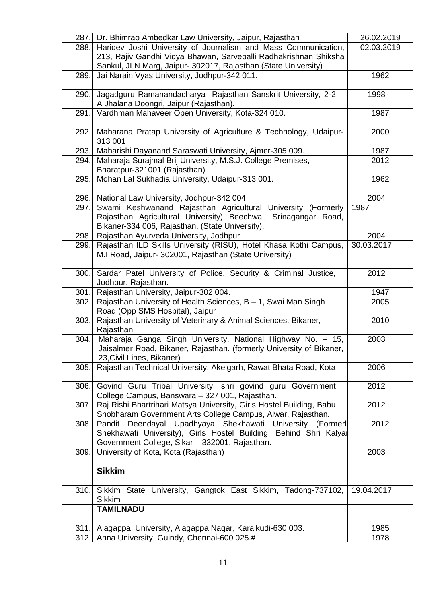| 287. | Dr. Bhimrao Ambedkar Law University, Jaipur, Rajasthan                                            | 26.02.2019 |
|------|---------------------------------------------------------------------------------------------------|------------|
| 288. | Haridev Joshi University of Journalism and Mass Communication,                                    | 02.03.2019 |
|      | 213, Rajiv Gandhi Vidya Bhawan, Sarvepalli Radhakrishnan Shiksha                                  |            |
|      | Sankul, JLN Marg, Jaipur- 302017, Rajasthan (State University)                                    |            |
| 289. | Jai Narain Vyas University, Jodhpur-342 011.                                                      | 1962       |
|      |                                                                                                   |            |
| 290. | Jagadguru Ramanandacharya Rajasthan Sanskrit University, 2-2                                      | 1998       |
| 291. | A Jhalana Doongri, Jaipur (Rajasthan).<br>Vardhman Mahaveer Open University, Kota-324 010.        | 1987       |
|      |                                                                                                   |            |
| 292. | Maharana Pratap University of Agriculture & Technology, Udaipur-                                  | 2000       |
|      | 313 001                                                                                           |            |
| 293. | Maharishi Dayanand Saraswati University, Ajmer-305 009.                                           | 1987       |
| 294. | Maharaja Surajmal Brij University, M.S.J. College Premises,                                       | 2012       |
|      | Bharatpur-321001 (Rajasthan)                                                                      |            |
| 295. | Mohan Lal Sukhadia University, Udaipur-313 001.                                                   | 1962       |
|      |                                                                                                   |            |
| 296. | National Law University, Jodhpur-342 004                                                          | 2004       |
| 297. | Swami Keshwanand Rajasthan Agricultural University (Formerly                                      | 1987       |
|      | Rajasthan Agricultural University) Beechwal, Srinagangar Road,                                    |            |
| 298. | Bikaner-334 006, Rajasthan. (State University).<br>Rajasthan Ayurveda University, Jodhpur         | 2004       |
| 299. | Rajasthan ILD Skills University (RISU), Hotel Khasa Kothi Campus,                                 | 30.03.2017 |
|      | M.I.Road, Jaipur- 302001, Rajasthan (State University)                                            |            |
|      |                                                                                                   |            |
| 300. | Sardar Patel University of Police, Security & Criminal Justice,                                   | 2012       |
|      | Jodhpur, Rajasthan.                                                                               |            |
| 301. | Rajasthan University, Jaipur-302 004.                                                             | 1947       |
| 302. | Rajasthan University of Health Sciences, B - 1, Swai Man Singh                                    | 2005       |
|      | Road (Opp SMS Hospital), Jaipur                                                                   |            |
| 303. | Rajasthan University of Veterinary & Animal Sciences, Bikaner,                                    | 2010       |
|      | Rajasthan.                                                                                        |            |
| 304. | Maharaja Ganga Singh University, National Highway No. - 15,                                       | 2003       |
|      | Jaisalmer Road, Bikaner, Rajasthan. (formerly University of Bikaner,<br>23, Civil Lines, Bikaner) |            |
| 305. | Rajasthan Technical University, Akelgarh, Rawat Bhata Road, Kota                                  | 2006       |
|      |                                                                                                   |            |
| 306. | Govind Guru Tribal University, shri govind guru Government                                        | 2012       |
|      | College Campus, Banswara - 327 001, Rajasthan.                                                    |            |
| 307. | Raj Rishi Bhartrihari Matsya University, Girls Hostel Building, Babu                              | 2012       |
|      | Shobharam Government Arts College Campus, Alwar, Rajasthan.                                       |            |
| 308. | Pandit Deendayal Upadhyaya Shekhawati University (Formerl                                         | 2012       |
|      | Shekhawati University), Girls Hostel Building, Behind Shri Kalyar                                 |            |
|      | Government College, Sikar - 332001, Rajasthan.                                                    |            |
| 309. | University of Kota, Kota (Rajasthan)                                                              | 2003       |
|      | <b>Sikkim</b>                                                                                     |            |
|      |                                                                                                   |            |
| 310. | Sikkim State University, Gangtok East Sikkim, Tadong-737102,                                      | 19.04.2017 |
|      | <b>Sikkim</b>                                                                                     |            |
|      | <b>TAMILNADU</b>                                                                                  |            |
|      |                                                                                                   |            |
| 311. | Alagappa University, Alagappa Nagar, Karaikudi-630 003.                                           | 1985       |
| 312. | Anna University, Guindy, Chennai-600 025.#                                                        | 1978       |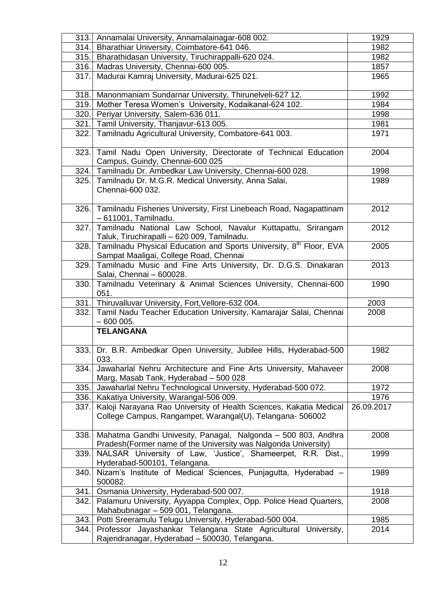| 313.  | Annamalai University, Annamalainagar-608 002.                                                                                   | 1929       |
|-------|---------------------------------------------------------------------------------------------------------------------------------|------------|
| 314.  | Bharathiar University, Coimbatore-641 046.                                                                                      | 1982       |
|       | 315. Bharathidasan University, Tiruchirappalli-620 024.                                                                         | 1982       |
| 316.  | Madras University, Chennai-600 005.                                                                                             | 1857       |
| 317.  | Madurai Kamraj University, Madurai-625 021.                                                                                     | 1965       |
|       |                                                                                                                                 |            |
| 318.  | Manonmaniam Sundarnar University, Thirunelveli-627 12.                                                                          | 1992       |
| 319.  | Mother Teresa Women's University, Kodaikanal-624 102.                                                                           | 1984       |
| 320.  | Periyar University, Salem-636 011.                                                                                              | 1998       |
| 321.  | Tamil University, Thanjavur-613 005.                                                                                            | 1981       |
| 322.  | Tamilnadu Agricultural University, Combatore-641 003.                                                                           | 1971       |
|       |                                                                                                                                 |            |
| 323.  | Tamil Nadu Open University, Directorate of Technical Education                                                                  | 2004       |
|       | Campus, Guindy, Chennai-600 025                                                                                                 |            |
|       | 324. Tamilnadu Dr. Ambedkar Law University, Chennai-600 028.                                                                    | 1998       |
|       | 325. Tamilnadu Dr. M.G.R. Medical University, Anna Salai,                                                                       | 1989       |
|       | Chennai-600 032.                                                                                                                |            |
|       |                                                                                                                                 |            |
|       | 326. Tamilnadu Fisheries University, First Linebeach Road, Nagapattinam                                                         | 2012       |
|       | - 611001, Tamilnadu.                                                                                                            |            |
|       | 327. Tamilnadu National Law School, Navalur Kuttapattu, Srirangam                                                               | 2012       |
|       | Taluk, Tiruchirapalli - 620 009, Tamilnadu.                                                                                     |            |
| 328.  | Tamilnadu Physical Education and Sports University, 8 <sup>th</sup> Floor, EVA                                                  | 2005       |
|       | Sampat Maaligai, College Road, Chennai                                                                                          |            |
| 329.  | Tamilnadu Music and Fine Arts University, Dr. D.G.S. Dinakaran                                                                  | 2013       |
|       | Salai, Chennai - 600028.                                                                                                        |            |
| 330.1 | Tamilnadu Veterinary & Animal Sciences University, Chennai-600                                                                  | 1990       |
|       | 051.                                                                                                                            | 2003       |
|       | 331. Thiruvalluvar University, Fort, Vellore-632 004.<br>332. Tamil Nadu Teacher Education University, Kamarajar Salai, Chennai |            |
|       | $-600005.$                                                                                                                      | 2008       |
|       | <b>TELANGANA</b>                                                                                                                |            |
|       |                                                                                                                                 |            |
|       | 333. Dr. B.R. Ambedkar Open University, Jubilee Hills, Hyderabad-500                                                            | 1982       |
|       | 033.                                                                                                                            |            |
| 334.  | Jawaharlal Nehru Architecture and Fine Arts University, Mahaveer                                                                | 2008       |
|       | Marg, Masab Tank, Hyderabad - 500 028                                                                                           |            |
| 335.  | Jawaharlal Nehru Technological University, Hyderabad-500 072.                                                                   | 1972       |
| 336.  | Kakatiya University, Warangal-506 009.                                                                                          | 1976       |
| 337.1 | Kaloji Narayana Rao University of Health Sciences, Kakatia Medical                                                              | 26.09.2017 |
|       | College Campus, Rangampet, Warangal(U), Telangana-506002                                                                        |            |
|       |                                                                                                                                 |            |
| 338.  | Mahatma Gandhi Univesity, Panagal, Nalgonda - 500 803, Andhra                                                                   | 2008       |
|       | Pradesh(Former name of the University was Nalgonda University)                                                                  |            |
| 339.  | NALSAR University of Law, 'Justice', Shameerpet, R.R. Dist.,                                                                    | 1999       |
|       | Hyderabad-500101, Telangana.                                                                                                    |            |
| 340.  | Nizam's Institute of Medical Sciences, Punjagutta, Hyderabad -                                                                  | 1989       |
|       | 500082.                                                                                                                         |            |
| 341.  | Osmania University, Hyderabad-500 007.                                                                                          | 1918       |
| 342.1 | Palamuru University, Ayyappa Complex, Opp. Police Head Quarters,                                                                | 2008       |
|       | Mahabubnagar - 509 001, Telangana.                                                                                              |            |
| 343.1 | Potti Sreeramulu Telugu University, Hyderabad-500 004.                                                                          | 1985       |
| 344.  | Professor Jayashankar Telangana State Agricultural University,                                                                  | 2014       |
|       | Rajendranagar, Hyderabad - 500030, Telangana.                                                                                   |            |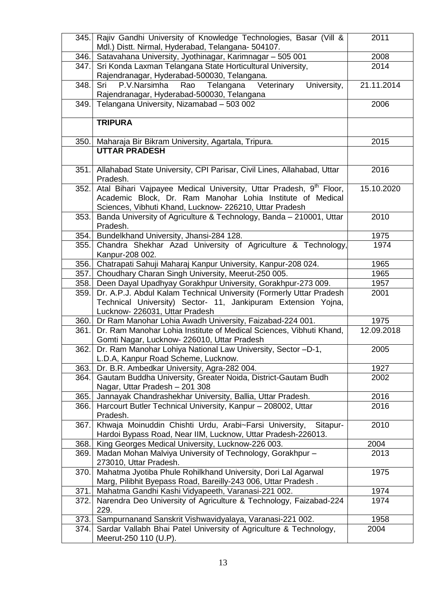| 345.  | Rajiv Gandhi University of Knowledge Technologies, Basar (Vill &<br>Mdl.) Distt. Nirmal, Hyderabad, Telangana- 504107.                                                 | 2011       |
|-------|------------------------------------------------------------------------------------------------------------------------------------------------------------------------|------------|
| 346.  | Satavahana University, Jyothinagar, Karimnagar - 505 001                                                                                                               | 2008       |
| 347.  | Sri Konda Laxman Telangana State Horticultural University,                                                                                                             | 2014       |
|       | Rajendranagar, Hyderabad-500030, Telangana.                                                                                                                            |            |
| 348.  | P.V.Narsimha<br>Veterinary<br>University,<br>Rao<br>Telangana<br>Sri                                                                                                   | 21.11.2014 |
|       | Rajendranagar, Hyderabad-500030, Telangana                                                                                                                             |            |
| 349.  | Telangana University, Nizamabad - 503 002                                                                                                                              | 2006       |
|       |                                                                                                                                                                        |            |
|       | <b>TRIPURA</b>                                                                                                                                                         |            |
| 350.  | Maharaja Bir Bikram University, Agartala, Tripura.                                                                                                                     | 2015       |
|       | <b>UTTAR PRADESH</b>                                                                                                                                                   |            |
|       |                                                                                                                                                                        |            |
| 351.  | Allahabad State University, CPI Parisar, Civil Lines, Allahabad, Uttar<br>Pradesh.                                                                                     | 2016       |
| 352.1 | Atal Bihari Vajpayee Medical University, Uttar Pradesh, 9 <sup>th</sup> Floor,                                                                                         | 15.10.2020 |
|       | Academic Block, Dr. Ram Manohar Lohia Institute of Medical                                                                                                             |            |
|       | Sciences, Vibhuti Khand, Lucknow- 226210, Uttar Pradesh                                                                                                                |            |
| 353.  | Banda University of Agriculture & Technology, Banda - 210001, Uttar<br>Pradesh.                                                                                        | 2010       |
| 354.  | Bundelkhand University, Jhansi-284 128.                                                                                                                                | 1975       |
| 355.  | Chandra Shekhar Azad University of Agriculture & Technology,                                                                                                           | 1974       |
|       | Kanpur-208 002.                                                                                                                                                        |            |
| 356.  | Chatrapati Sahuji Maharaj Kanpur University, Kanpur-208 024.                                                                                                           | 1965       |
| 357.  | Choudhary Charan Singh University, Meerut-250 005.                                                                                                                     | 1965       |
| 358.  | Deen Dayal Upadhyay Gorakhpur University, Gorakhpur-273 009.                                                                                                           | 1957       |
| 359.  | Dr. A.P.J. Abdul Kalam Technical University (Formerly Uttar Pradesh<br>Technical University) Sector- 11, Jankipuram Extension Yojna,<br>Lucknow- 226031, Uttar Pradesh | 2001       |
| 360.  | Dr Ram Manohar Lohia Awadh University, Faizabad-224 001.                                                                                                               | 1975       |
| 361.  | Dr. Ram Manohar Lohia Institute of Medical Sciences, Vibhuti Khand,                                                                                                    | 12.09.2018 |
|       | Gomti Nagar, Lucknow- 226010, Uttar Pradesh                                                                                                                            |            |
| 362.1 | Dr. Ram Manohar Lohiya National Law University, Sector -D-1,                                                                                                           | 2005       |
|       | L.D.A, Kanpur Road Scheme, Lucknow.                                                                                                                                    |            |
| 363.  | Dr. B.R. Ambedkar University, Agra-282 004.                                                                                                                            | 1927       |
| 364.  | Gautam Buddha University, Greater Noida, District-Gautam Budh                                                                                                          | 2002       |
|       | Nagar, Uttar Pradesh - 201 308                                                                                                                                         |            |
| 365.  | Jannayak Chandrashekhar University, Ballia, Uttar Pradesh.                                                                                                             | 2016       |
| 366.  | Harcourt Butler Technical University, Kanpur - 208002, Uttar<br>Pradesh.                                                                                               | 2016       |
| 367.  | Khwaja Moinuddin Chishti Urdu, Arabi~Farsi University,<br>Sitapur-<br>Hardoi Bypass Road, Near IIM, Lucknow, Uttar Pradesh-226013.                                     | 2010       |
| 368.  | King Georges Medical University, Lucknow-226 003.                                                                                                                      | 2004       |
| 369.  | Madan Mohan Malviya University of Technology, Gorakhpur -                                                                                                              | 2013       |
|       | 273010, Uttar Pradesh.                                                                                                                                                 |            |
| 370.  | Mahatma Jyotiba Phule Rohilkhand University, Dori Lal Agarwal                                                                                                          | 1975       |
|       | Marg, Pilibhit Byepass Road, Bareilly-243 006, Uttar Pradesh.                                                                                                          |            |
| 371.  | Mahatma Gandhi Kashi Vidyapeeth, Varanasi-221 002.                                                                                                                     | 1974       |
| 372.  | Narendra Deo University of Agriculture & Technology, Faizabad-224                                                                                                      | 1974       |
|       | 229.                                                                                                                                                                   |            |
| 373.  | Sampurnanand Sanskrit Vishwavidyalaya, Varanasi-221 002.                                                                                                               | 1958       |
| 374.  | Sardar Vallabh Bhai Patel University of Agriculture & Technology,                                                                                                      | 2004       |
|       | Meerut-250 110 (U.P).                                                                                                                                                  |            |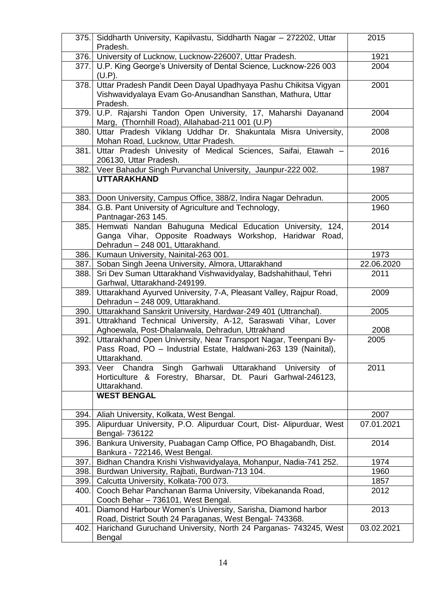| 375.  | Siddharth University, Kapilvastu, Siddharth Nagar - 272202, Uttar<br>Pradesh.                                                                             | 2015       |
|-------|-----------------------------------------------------------------------------------------------------------------------------------------------------------|------------|
| 376.  | University of Lucknow, Lucknow-226007, Uttar Pradesh.                                                                                                     | 1921       |
| 377.I | U.P. King George's University of Dental Science, Lucknow-226 003<br>(U.P).                                                                                | 2004       |
| 378.  | Uttar Pradesh Pandit Deen Dayal Upadhyaya Pashu Chikitsa Vigyan<br>Vishwavidyalaya Evam Go-Anusandhan Sansthan, Mathura, Uttar<br>Pradesh.                | 2001       |
| 379.  | U.P. Rajarshi Tandon Open University, 17, Maharshi Dayanand<br>Marg, (Thornhill Road), Allahabad-211 001 (U.P)                                            | 2004       |
| 380.  | Uttar Pradesh Viklang Uddhar Dr. Shakuntala Misra University,<br>Mohan Road, Lucknow, Uttar Pradesh.                                                      | 2008       |
| 381.  | Uttar Pradesh Univesity of Medical Sciences, Saifai, Etawah -<br>206130, Uttar Pradesh.                                                                   | 2016       |
| 382.  | Veer Bahadur Singh Purvanchal University, Jaunpur-222 002.                                                                                                | 1987       |
|       | <b>UTTARAKHAND</b>                                                                                                                                        |            |
| 383.1 | Doon University, Campus Office, 388/2, Indira Nagar Dehradun.                                                                                             | 2005       |
| 384.  | G.B. Pant University of Agriculture and Technology,<br>Pantnagar-263 145.                                                                                 | 1960       |
| 385.  | Hemwati Nandan Bahuguna Medical Education University, 124,<br>Ganga Vihar, Opposite Roadways Workshop, Haridwar Road,<br>Dehradun - 248 001, Uttarakhand. | 2014       |
| 386.  | Kumaun University, Nainital-263 001.                                                                                                                      | 1973       |
| 387.  | Soban Singh Jeena University, Almora, Uttarakhand                                                                                                         | 22.06.2020 |
| 388.  | Sri Dev Suman Uttarakhand Vishwavidyalay, Badshahithaul, Tehri<br>Garhwal, Uttarakhand-249199.                                                            | 2011       |
| 389.  | Uttarakhand Ayurved University, 7-A, Pleasant Valley, Rajpur Road,<br>Dehradun - 248 009, Uttarakhand.                                                    | 2009       |
| 390.  | Uttarakhand Sanskrit University, Hardwar-249 401 (Uttranchal).                                                                                            | 2005       |
| 391.  | Uttrakhand Technical University, A-12, Saraswati Vihar, Lover<br>Aghoewala, Post-Dhalanwala, Dehradun, Uttrakhand                                         | 2008       |
| 392.  | Uttarakhand Open University, Near Transport Nagar, Teenpani By-<br>Pass Road, PO - Industrial Estate, Haldwani-263 139 (Nainital),<br>Uttarakhand.        | 2005       |
| 393.  | Singh Garhwali Uttarakhand University of<br>Chandra<br>Veer<br>Horticulture & Forestry, Bharsar, Dt. Pauri Garhwal-246123,<br>Uttarakhand.                | 2011       |
|       | <b>WEST BENGAL</b>                                                                                                                                        |            |
| 394.  | Aliah University, Kolkata, West Bengal.                                                                                                                   | 2007       |
| 395.  | Alipurduar University, P.O. Alipurduar Court, Dist- Alipurduar, West<br>Bengal- 736122                                                                    | 07.01.2021 |
| 396.  | Bankura University, Puabagan Camp Office, PO Bhagabandh, Dist.<br>Bankura - 722146, West Bengal.                                                          | 2014       |
| 397.  | Bidhan Chandra Krishi Vishwavidyalaya, Mohanpur, Nadia-741 252.                                                                                           | 1974       |
| 398.  | Burdwan University, Rajbati, Burdwan-713 104.                                                                                                             | 1960       |
| 399.  | Calcutta University, Kolkata-700 073.                                                                                                                     | 1857       |
| 400.  | Cooch Behar Panchanan Barma University, Vibekananda Road,<br>Cooch Behar - 736101, West Bengal.                                                           | 2012       |
| 401.  | Diamond Harbour Women's University, Sarisha, Diamond harbor<br>Road, District South 24 Paraganas, West Bengal- 743368.                                    | 2013       |
| 402.  | Harichand Guruchand University, North 24 Parganas- 743245, West<br>Bengal                                                                                 | 03.02.2021 |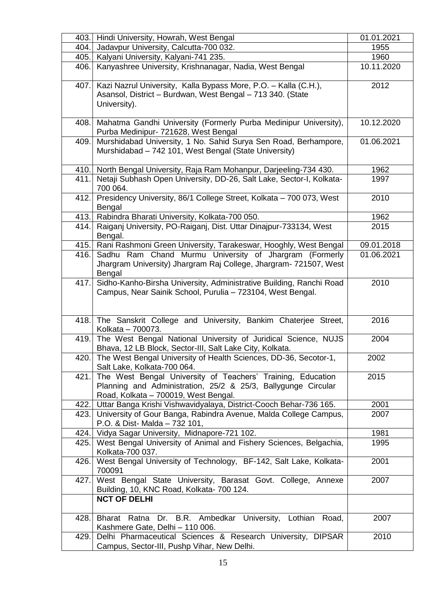| 403.  | Hindi University, Howrah, West Bengal                                                                                                                                | 01.01.2021 |
|-------|----------------------------------------------------------------------------------------------------------------------------------------------------------------------|------------|
| 404.  | Jadavpur University, Calcutta-700 032.                                                                                                                               | 1955       |
| 405.  | Kalyani University, Kalyani-741 235.                                                                                                                                 | 1960       |
| 406.  | Kanyashree University, Krishnanagar, Nadia, West Bengal                                                                                                              | 10.11.2020 |
| 407.  | Kazi Nazrul University, Kalla Bypass More, P.O. - Kalla (C.H.),<br>Asansol, District - Burdwan, West Bengal - 713 340. (State<br>University).                        | 2012       |
| 408.  | Mahatma Gandhi University (Formerly Purba Medinipur University),<br>Purba Medinipur- 721628, West Bengal                                                             | 10.12.2020 |
| 409.  | Murshidabad University, 1 No. Sahid Surya Sen Road, Berhampore,<br>Murshidabad - 742 101, West Bengal (State University)                                             | 01.06.2021 |
| 410.  | North Bengal University, Raja Ram Mohanpur, Darjeeling-734 430.                                                                                                      | 1962       |
| 411.  | Netaji Subhash Open University, DD-26, Salt Lake, Sector-I, Kolkata-<br>700 064.                                                                                     | 1997       |
| 412.1 | Presidency University, 86/1 College Street, Kolkata - 700 073, West<br>Bengal                                                                                        | 2010       |
| 413.  | Rabindra Bharati University, Kolkata-700 050.                                                                                                                        | 1962       |
| 414.  | Raiganj University, PO-Raiganj, Dist. Uttar Dinajpur-733134, West<br>Bengal.                                                                                         | 2015       |
| 415.  | Rani Rashmoni Green University, Tarakeswar, Hooghly, West Bengal                                                                                                     | 09.01.2018 |
| 416.  | Sadhu Ram Chand Murmu University of Jhargram (Formerly<br>Jhargram University) Jhargram Raj College, Jhargram- 721507, West<br>Bengal                                | 01.06.2021 |
| 417.  | Sidho-Kanho-Birsha University, Administrative Building, Ranchi Road<br>Campus, Near Sainik School, Purulia - 723104, West Bengal.                                    | 2010       |
|       | 418. The Sanskrit College and University, Bankim Chaterjee Street,<br>Kolkata - 700073.                                                                              | 2016       |
|       | 419. The West Bengal National University of Juridical Science, NUJS<br>Bhava, 12 LB Block, Sector-III, Salt Lake City, Kolkata.                                      | 2004       |
|       | 420. The West Bengal University of Health Sciences, DD-36, Secotor-1,<br>Salt Lake, Kolkata-700 064.                                                                 | 2002       |
| 421.  | The West Bengal University of Teachers' Training, Education<br>Planning and Administration, 25/2 & 25/3, Ballygunge Circular<br>Road, Kolkata - 700019, West Bengal. | 2015       |
| 422.  | Uttar Banga Krishi Vishwavidyalaya, District-Cooch Behar-736 165.                                                                                                    | 2001       |
| 423.1 | University of Gour Banga, Rabindra Avenue, Malda College Campus,<br>P.O. & Dist- Malda - 732 101,                                                                    | 2007       |
| 424.  | Vidya Sagar University, Midnapore-721 102.                                                                                                                           | 1981       |
| 425.  | West Bengal University of Animal and Fishery Sciences, Belgachia,<br>Kolkata-700 037.                                                                                | 1995       |
| 426.  | West Bengal University of Technology, BF-142, Salt Lake, Kolkata-<br>700091                                                                                          | 2001       |
| 427.  | West Bengal State University, Barasat Govt. College, Annexe<br>Building, 10, KNC Road, Kolkata- 700 124.<br><b>NCT OF DELHI</b>                                      | 2007       |
| 428.  | Ratna Dr. B.R. Ambedkar University, Lothian<br>Road,<br>Bharat                                                                                                       | 2007       |
|       | Kashmere Gate, Delhi - 110 006.                                                                                                                                      |            |
| 429.  | Delhi Pharmaceutical Sciences & Research University, DIPSAR<br>Campus, Sector-III, Pushp Vihar, New Delhi.                                                           | 2010       |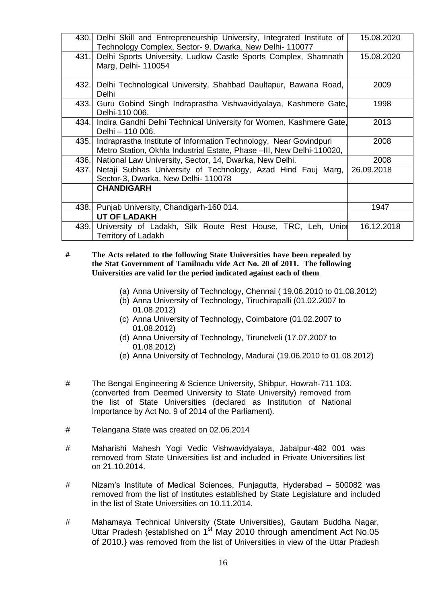| 430.  | Delhi Skill and Entrepreneurship University, Integrated Institute of<br>Technology Complex, Sector- 9, Dwarka, New Delhi-110077            | 15.08.2020 |
|-------|--------------------------------------------------------------------------------------------------------------------------------------------|------------|
| 431.1 | Delhi Sports University, Ludlow Castle Sports Complex, Shamnath<br>Marg, Delhi- 110054                                                     | 15.08.2020 |
| 432.1 | Delhi Technological University, Shahbad Daultapur, Bawana Road,<br>Delhi                                                                   | 2009       |
| 433.1 | Guru Gobind Singh Indraprastha Vishwavidyalaya, Kashmere Gate,<br>Delhi-110 006.                                                           | 1998       |
| 434.  | Indira Gandhi Delhi Technical University for Women, Kashmere Gate,<br>Delhi - 110 006.                                                     | 2013       |
| 435.1 | Indraprastha Institute of Information Technology, Near Govindpuri<br>Metro Station, Okhla Industrial Estate, Phase -III, New Delhi-110020, | 2008       |
| 436.  | National Law University, Sector, 14, Dwarka, New Delhi.                                                                                    | 2008       |
| 437.  | Netaji Subhas University of Technology, Azad Hind Fauj Marg,<br>Sector-3, Dwarka, New Delhi- 110078                                        | 26.09.2018 |
|       | <b>CHANDIGARH</b>                                                                                                                          |            |
| 438.  | Punjab University, Chandigarh-160 014.                                                                                                     | 1947       |
|       | <b>UT OF LADAKH</b>                                                                                                                        |            |
| 439.  | University of Ladakh, Silk Route Rest House, TRC, Leh, Unior<br><b>Territory of Ladakh</b>                                                 | 16.12.2018 |

**# The Acts related to the following State Universities have been repealed by the Stat Government of Tamilnadu vide Act No. 20 of 2011. The following Universities are valid for the period indicated against each of them**

- (a) Anna University of Technology, Chennai ( 19.06.2010 to 01.08.2012)
- (b) Anna University of Technology, Tiruchirapalli (01.02.2007 to 01.08.2012)
- (c) Anna University of Technology, Coimbatore (01.02.2007 to 01.08.2012)
- (d) Anna University of Technology, Tirunelveli (17.07.2007 to 01.08.2012)
- (e) Anna University of Technology, Madurai (19.06.2010 to 01.08.2012)
- # The Bengal Engineering & Science University, Shibpur, Howrah-711 103. (converted from Deemed University to State University) removed from the list of State Universities (declared as Institution of National Importance by Act No. 9 of 2014 of the Parliament).
- # Telangana State was created on 02.06.2014
- # Maharishi Mahesh Yogi Vedic Vishwavidyalaya, Jabalpur-482 001 was removed from State Universities list and included in Private Universities list on 21.10.2014.
- # Nizam's Institute of Medical Sciences, Punjagutta, Hyderabad 500082 was removed from the list of Institutes established by State Legislature and included in the list of State Universities on 10.11.2014.
- # Mahamaya Technical University (State Universities), Gautam Buddha Nagar, Uttar Pradesh {established on 1<sup>st</sup> May 2010 through amendment Act No.05 of 2010.} was removed from the list of Universities in view of the Uttar Pradesh